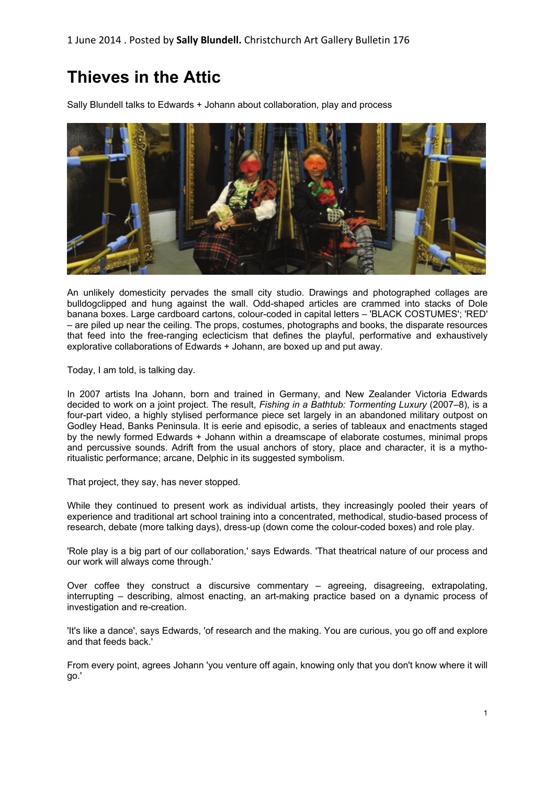# **Thieves in the Attic**

Sally Blundell talks to Edwards + Johann about collaboration, play and process



An unlikely domesticity pervades the small city studio. Drawings and photographed collages are bulldogclipped and hung against the wall. Odd-shaped articles are crammed into stacks of Dole banana boxes. Large cardboard cartons, colour-coded in capital letters – 'BLACK COSTUMES'; 'RED' – are piled up near the ceiling. The props, costumes, photographs and books, the disparate resources that feed into the free-ranging eclecticism that defines the playful, performative and exhaustively explorative collaborations of Edwards + Johann, are boxed up and put away.

Today, I am told, is talking day.

In 2007 artists Ina Johann, born and trained in Germany, and New Zealander Victoria Edwards decided to work on a joint project. The result, *Fishing in a Bathtub: Tormenting Luxury* (2007–8), is a four-part video, a highly stylised performance piece set largely in an abandoned military outpost on Godley Head, Banks Peninsula. It is eerie and episodic, a series of tableaux and enactments staged by the newly formed Edwards + Johann within a dreamscape of elaborate costumes, minimal props and percussive sounds. Adrift from the usual anchors of story, place and character, it is a mythoritualistic performance; arcane, Delphic in its suggested symbolism.

That project, they say, has never stopped.

While they continued to present work as individual artists, they increasingly pooled their years of experience and traditional art school training into a concentrated, methodical, studio-based process of research, debate (more talking days), dress-up (down come the colour-coded boxes) and role play.

'Role play is a big part of our collaboration,' says Edwards. 'That theatrical nature of our process and our work will always come through.'

Over coffee they construct a discursive commentary – agreeing, disagreeing, extrapolating, interrupting – describing, almost enacting, an art-making practice based on a dynamic process of investigation and re-creation.

'It's like a dance', says Edwards, 'of research and the making. You are curious, you go off and explore and that feeds back.'

From every point, agrees Johann 'you venture off again, knowing only that you don't know where it will go.'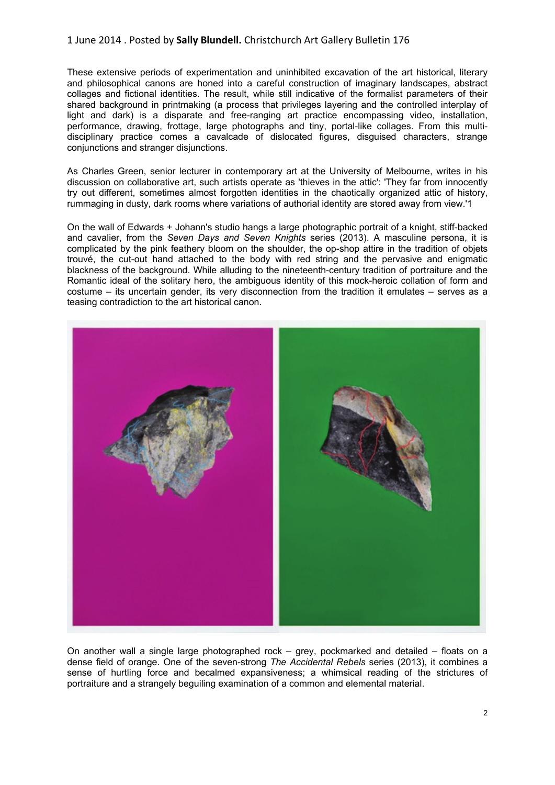## 1 June 2014 . Posted by **Sally Blundell.** Christchurch Art Gallery Bulletin 176

These extensive periods of experimentation and uninhibited excavation of the art historical, literary and philosophical canons are honed into a careful construction of imaginary landscapes, abstract collages and fictional identities. The result, while still indicative of the formalist parameters of their shared background in printmaking (a process that privileges layering and the controlled interplay of light and dark) is a disparate and free-ranging art practice encompassing video, installation, performance, drawing, frottage, large photographs and tiny, portal-like collages. From this multidisciplinary practice comes a cavalcade of dislocated figures, disguised characters, strange conjunctions and stranger disjunctions.

As Charles Green, senior lecturer in contemporary art at the University of Melbourne, writes in his discussion on collaborative art, such artists operate as 'thieves in the attic': 'They far from innocently try out different, sometimes almost forgotten identities in the chaotically organized attic of history, rummaging in dusty, dark rooms where variations of authorial identity are stored away from view.'1

On the wall of Edwards + Johann's studio hangs a large photographic portrait of a knight, stiff-backed and cavalier, from the *Seven Days and Seven Knights* series (2013). A masculine persona, it is complicated by the pink feathery bloom on the shoulder, the op-shop attire in the tradition of objets trouvé, the cut-out hand attached to the body with red string and the pervasive and enigmatic blackness of the background. While alluding to the nineteenth-century tradition of portraiture and the Romantic ideal of the solitary hero, the ambiguous identity of this mock-heroic collation of form and costume – its uncertain gender, its very disconnection from the tradition it emulates – serves as a teasing contradiction to the art historical canon.



On another wall a single large photographed rock – grey, pockmarked and detailed – floats on a dense field of orange. One of the seven-strong *The Accidental Rebels* series (2013), it combines a sense of hurtling force and becalmed expansiveness; a whimsical reading of the strictures of portraiture and a strangely beguiling examination of a common and elemental material.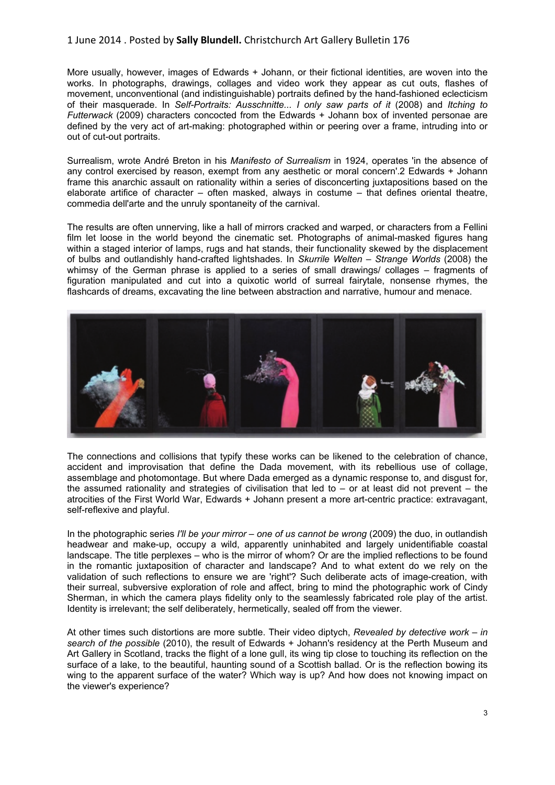## 1 June 2014 . Posted by **Sally Blundell.** Christchurch Art Gallery Bulletin 176

More usually, however, images of Edwards + Johann, or their fictional identities, are woven into the works. In photographs, drawings, collages and video work they appear as cut outs, flashes of movement, unconventional (and indistinguishable) portraits defined by the hand-fashioned eclecticism of their masquerade. In *Self-Portraits: Ausschnitte... I only saw parts of it* (2008) and *Itching to Futterwack* (2009) characters concocted from the Edwards + Johann box of invented personae are defined by the very act of art-making: photographed within or peering over a frame, intruding into or out of cut-out portraits.

Surrealism, wrote André Breton in his *Manifesto of Surrealism* in 1924, operates 'in the absence of any control exercised by reason, exempt from any aesthetic or moral concern'.2 Edwards + Johann frame this anarchic assault on rationality within a series of disconcerting juxtapositions based on the elaborate artifice of character – often masked, always in costume – that defines oriental theatre, commedia dell'arte and the unruly spontaneity of the carnival.

The results are often unnerving, like a hall of mirrors cracked and warped, or characters from a Fellini film let loose in the world beyond the cinematic set. Photographs of animal-masked figures hang within a staged interior of lamps, rugs and hat stands, their functionality skewed by the displacement of bulbs and outlandishly hand-crafted lightshades. In *Skurrile Welten – Strange Worlds* (2008) the whimsy of the German phrase is applied to a series of small drawings/ collages – fragments of figuration manipulated and cut into a quixotic world of surreal fairytale, nonsense rhymes, the flashcards of dreams, excavating the line between abstraction and narrative, humour and menace.



The connections and collisions that typify these works can be likened to the celebration of chance, accident and improvisation that define the Dada movement, with its rebellious use of collage, assemblage and photomontage. But where Dada emerged as a dynamic response to, and disgust for, the assumed rationality and strategies of civilisation that led to – or at least did not prevent – the atrocities of the First World War, Edwards + Johann present a more art-centric practice: extravagant, self-reflexive and playful.

In the photographic series *I'll be your mirror – one of us cannot be wrong* (2009) the duo, in outlandish headwear and make-up, occupy a wild, apparently uninhabited and largely unidentifiable coastal landscape. The title perplexes – who is the mirror of whom? Or are the implied reflections to be found in the romantic juxtaposition of character and landscape? And to what extent do we rely on the validation of such reflections to ensure we are 'right'? Such deliberate acts of image-creation, with their surreal, subversive exploration of role and affect, bring to mind the photographic work of Cindy Sherman, in which the camera plays fidelity only to the seamlessly fabricated role play of the artist. Identity is irrelevant; the self deliberately, hermetically, sealed off from the viewer.

At other times such distortions are more subtle. Their video diptych, *Revealed by detective work – in search of the possible* (2010), the result of Edwards + Johann's residency at the Perth Museum and Art Gallery in Scotland, tracks the flight of a lone gull, its wing tip close to touching its reflection on the surface of a lake, to the beautiful, haunting sound of a Scottish ballad. Or is the reflection bowing its wing to the apparent surface of the water? Which way is up? And how does not knowing impact on the viewer's experience?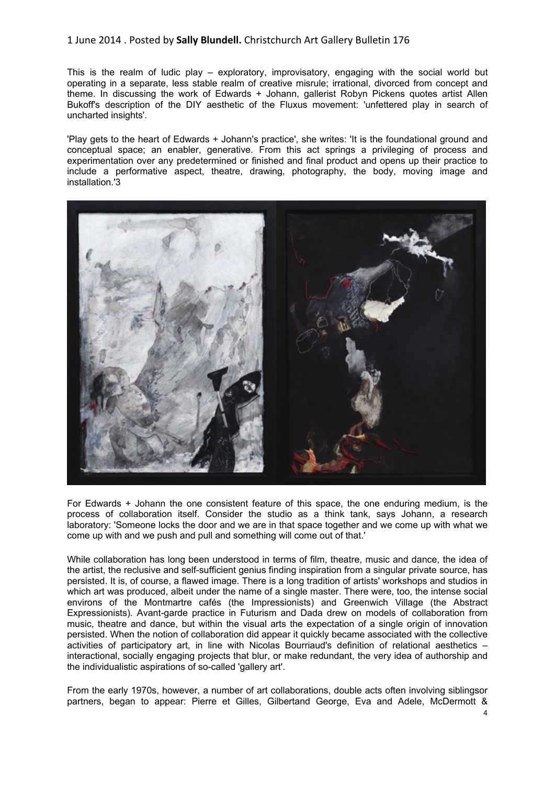## 1 June 2014 . Posted by **Sally Blundell.** Christchurch Art Gallery Bulletin 176

This is the realm of ludic play – exploratory, improvisatory, engaging with the social world but operating in a separate, less stable realm of creative misrule; irrational, divorced from concept and theme. In discussing the work of Edwards + Johann, gallerist Robyn Pickens quotes artist Allen Bukoff's description of the DIY aesthetic of the Fluxus movement: 'unfettered play in search of uncharted insights'.

'Play gets to the heart of Edwards + Johann's practice', she writes: 'It is the foundational ground and conceptual space; an enabler, generative. From this act springs a privileging of process and experimentation over any predetermined or finished and final product and opens up their practice to include a performative aspect, theatre, drawing, photography, the body, moving image and installation.'3



For Edwards + Johann the one consistent feature of this space, the one enduring medium, is the process of collaboration itself. Consider the studio as a think tank, says Johann, a research laboratory: 'Someone locks the door and we are in that space together and we come up with what we come up with and we push and pull and something will come out of that.'

While collaboration has long been understood in terms of film, theatre, music and dance, the idea of the artist, the reclusive and self-sufficient genius finding inspiration from a singular private source, has persisted. It is, of course, a flawed image. There is a long tradition of artists' workshops and studios in which art was produced, albeit under the name of a single master. There were, too, the intense social environs of the Montmartre cafés (the Impressionists) and Greenwich Village (the Abstract Expressionists). Avant-garde practice in Futurism and Dada drew on models of collaboration from music, theatre and dance, but within the visual arts the expectation of a single origin of innovation persisted. When the notion of collaboration did appear it quickly became associated with the collective activities of participatory art, in line with Nicolas Bourriaud's definition of relational aesthetics – interactional, socially engaging projects that blur, or make redundant, the very idea of authorship and the individualistic aspirations of so-called 'gallery art'.

From the early 1970s, however, a number of art collaborations, double acts often involving siblingsor partners, began to appear: Pierre et Gilles, Gilbertand George, Eva and Adele, McDermott &